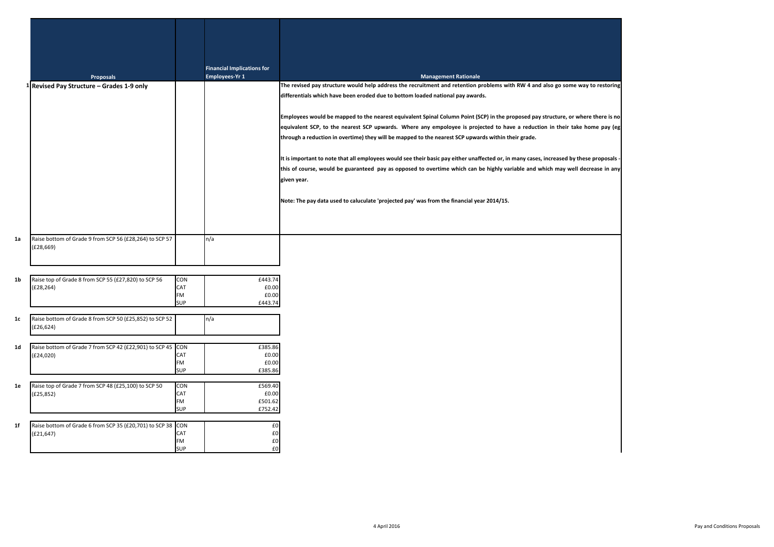|    |                                                                          |                                              | <b>Financial Implications for</b>    |                                                                                                                                                                                                                                                                                           |
|----|--------------------------------------------------------------------------|----------------------------------------------|--------------------------------------|-------------------------------------------------------------------------------------------------------------------------------------------------------------------------------------------------------------------------------------------------------------------------------------------|
|    | Proposals                                                                |                                              | <b>Employees-Yr 1</b>                | <b>Management Rationale</b>                                                                                                                                                                                                                                                               |
|    | 1 Revised Pay Structure - Grades 1-9 only                                |                                              |                                      | The revised pay structure would help address the recruitment and retention problems with RW 4 and also go some way to restoring<br>differentials which have been eroded due to bottom loaded national pay awards.                                                                         |
|    |                                                                          |                                              |                                      | Employees would be mapped to the nearest equivalent Spinal Column Point (SCP) in the proposed pay structure, or where there is no                                                                                                                                                         |
|    |                                                                          |                                              |                                      | equivalent SCP, to the nearest SCP upwards. Where any empoloyee is projected to have a reduction in their take home pay (eg                                                                                                                                                               |
|    |                                                                          |                                              |                                      | through a reduction in overtime) they will be mapped to the nearest SCP upwards within their grade.                                                                                                                                                                                       |
|    |                                                                          |                                              |                                      | It is important to note that all employees would see their basic pay either unaffected or, in many cases, increased by these proposals -<br>this of course, would be guaranteed pay as opposed to overtime which can be highly variable and which may well decrease in any<br>given year. |
|    |                                                                          |                                              |                                      | Note: The pay data used to caluculate 'projected pay' was from the financial year 2014/15.                                                                                                                                                                                                |
|    |                                                                          |                                              |                                      |                                                                                                                                                                                                                                                                                           |
| 1a | Raise bottom of Grade 9 from SCP 56 (£28,264) to SCP 57<br>(E28, 669)    |                                              | n/a                                  |                                                                                                                                                                                                                                                                                           |
|    |                                                                          |                                              |                                      |                                                                                                                                                                                                                                                                                           |
| 1b | Raise top of Grade 8 from SCP 55 (£27,820) to SCP 56<br>(E28, 264)       | <b>CON</b><br>CAT<br><b>FM</b><br><b>SUP</b> | £443.74<br>£0.00<br>£0.00<br>£443.74 |                                                                                                                                                                                                                                                                                           |
| 1c | Raise bottom of Grade 8 from SCP 50 (£25,852) to SCP 52<br>(E26, 624)    |                                              | n/a                                  |                                                                                                                                                                                                                                                                                           |
|    |                                                                          |                                              |                                      |                                                                                                                                                                                                                                                                                           |
| 1d | Raise bottom of Grade 7 from SCP 42 (£22,901) to SCP 45 CON<br>(E24,020) | CAT<br><b>FM</b>                             | £385.86<br>£0.00<br>£0.00            |                                                                                                                                                                                                                                                                                           |
|    |                                                                          | SUP                                          | £385.86                              |                                                                                                                                                                                                                                                                                           |
| 1e | Raise top of Grade 7 from SCP 48 (£25,100) to SCP 50<br>(E25, 852)       | CON<br>CAT<br><b>FM</b>                      | £569.40<br>£0.00<br>£501.62          |                                                                                                                                                                                                                                                                                           |
|    |                                                                          | <b>SUP</b>                                   | £752.42                              |                                                                                                                                                                                                                                                                                           |
| 1f | Raise bottom of Grade 6 from SCP 35 (£20,701) to SCP 38 CON              |                                              | £0                                   |                                                                                                                                                                                                                                                                                           |
|    | (E21, 647)                                                               | CAT<br><b>FM</b><br><b>SUP</b>               | £0<br>£0<br>£0                       |                                                                                                                                                                                                                                                                                           |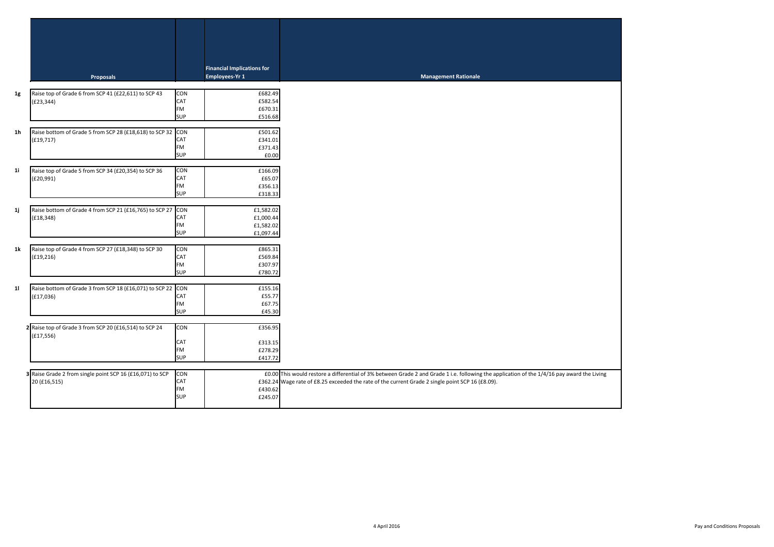|    | <b>Proposals</b>                                                          |                                       | <b>Financial Implications for</b><br><b>Employees-Yr 1</b> | <b>Management Rationale</b>                                                                                                                                                                                                                     |
|----|---------------------------------------------------------------------------|---------------------------------------|------------------------------------------------------------|-------------------------------------------------------------------------------------------------------------------------------------------------------------------------------------------------------------------------------------------------|
| 1g | Raise top of Grade 6 from SCP 41 (£22,611) to SCP 43<br>(E23, 344)        | CON<br>CAT<br>FM<br><b>SUP</b>        | £682.49<br>£582.54<br>£670.31<br>£516.68                   |                                                                                                                                                                                                                                                 |
| 1h | Raise bottom of Grade 5 from SCP 28 (£18,618) to SCP 32 CON<br>(E19, 717) | CAT<br>FM<br><b>SUP</b>               | £501.62<br>£341.01<br>£371.43<br>£0.00                     |                                                                                                                                                                                                                                                 |
| 1i | Raise top of Grade 5 from SCP 34 (£20,354) to SCP 36<br>(E20, 991)        | CON<br>CAT<br>FM<br><b>SUP</b>        | £166.09<br>£65.07<br>£356.13<br>£318.33                    |                                                                                                                                                                                                                                                 |
| 1j | Raise bottom of Grade 4 from SCP 21 (£16,765) to SCP 27 CON<br>(E18, 348) | CAT<br><b>FM</b><br><b>SUP</b>        | £1,582.02<br>£1,000.44<br>£1,582.02<br>£1,097.44           |                                                                                                                                                                                                                                                 |
| 1k | Raise top of Grade 4 from SCP 27 (£18,348) to SCP 30<br>(E19, 216)        | CON<br>CAT<br>FM<br><b>SUP</b>        | £865.31<br>£569.84<br>£307.97<br>£780.72                   |                                                                                                                                                                                                                                                 |
| 11 | Raise bottom of Grade 3 from SCP 18 (£16,071) to SCP 22 CON<br>(E17,036)  | CAT<br>FM<br><b>SUP</b>               | £155.16<br>£55.77<br>£67.75<br>£45.30                      |                                                                                                                                                                                                                                                 |
|    | 2 Raise top of Grade 3 from SCP 20 (£16,514) to SCP 24<br>(E17, 556)      | CON<br>CAT<br><b>FM</b><br><b>SUP</b> | £356.95<br>£313.15<br>£278.29<br>£417.72                   |                                                                                                                                                                                                                                                 |
|    | 3 Raise Grade 2 from single point SCP 16 (£16,071) to SCP<br>20 (£16,515) | CON<br>CAT<br><b>FM</b><br><b>SUP</b> | £430.62<br>£245.07                                         | £0.00 This would restore a differential of 3% between Grade 2 and Grade 1 i.e. following the application of the 1/4/16 pay award the Living<br>£362.24 Wage rate of £8.25 exceeded the rate of the current Grade 2 single point SCP 16 (£8.09). |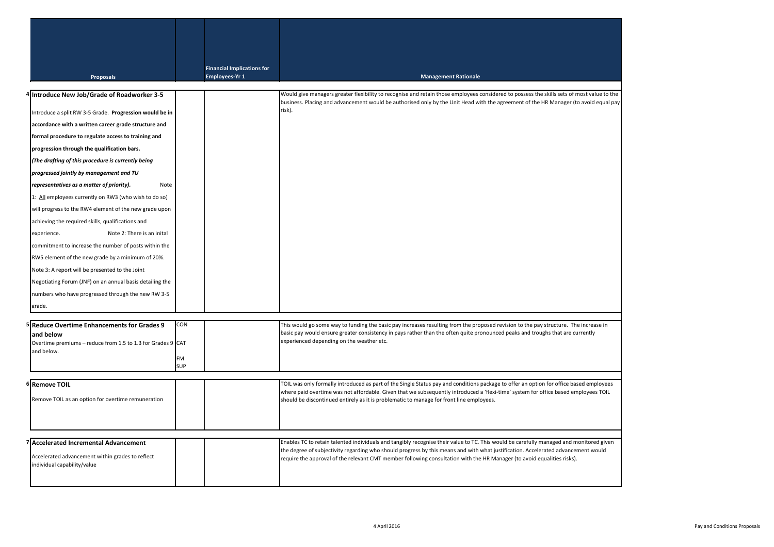| <b>Proposals</b>                                                                                            |                  | <b>Financial Implications for</b><br>Employees-Yr 1 | <b>Management Rationale</b>                                                                                                                                                                                                                                                                  |
|-------------------------------------------------------------------------------------------------------------|------------------|-----------------------------------------------------|----------------------------------------------------------------------------------------------------------------------------------------------------------------------------------------------------------------------------------------------------------------------------------------------|
|                                                                                                             |                  |                                                     |                                                                                                                                                                                                                                                                                              |
| <sup>4</sup> Introduce New Job/Grade of Roadworker 3-5                                                      |                  |                                                     | Would give managers greater flexibility to recognise and retain those employees considered to possess the skills sets of most value to the<br>business. Placing and advancement would be authorised only by the Unit Head with the agreement of the HR Manager (to avoid equal pay<br>risk). |
| Introduce a split RW 3-5 Grade. Progression would be in                                                     |                  |                                                     |                                                                                                                                                                                                                                                                                              |
| accordance with a written career grade structure and                                                        |                  |                                                     |                                                                                                                                                                                                                                                                                              |
| formal procedure to regulate access to training and                                                         |                  |                                                     |                                                                                                                                                                                                                                                                                              |
| progression through the qualification bars.                                                                 |                  |                                                     |                                                                                                                                                                                                                                                                                              |
| (The drafting of this procedure is currently being                                                          |                  |                                                     |                                                                                                                                                                                                                                                                                              |
| progressed jointly by management and TU                                                                     |                  |                                                     |                                                                                                                                                                                                                                                                                              |
| representatives as a matter of priority).<br>Note                                                           |                  |                                                     |                                                                                                                                                                                                                                                                                              |
| 1: All employees currently on RW3 (who wish to do so)                                                       |                  |                                                     |                                                                                                                                                                                                                                                                                              |
| will progress to the RW4 element of the new grade upon                                                      |                  |                                                     |                                                                                                                                                                                                                                                                                              |
| achieving the required skills, qualifications and<br>experience.<br>Note 2: There is an inital              |                  |                                                     |                                                                                                                                                                                                                                                                                              |
| commitment to increase the number of posts within the                                                       |                  |                                                     |                                                                                                                                                                                                                                                                                              |
|                                                                                                             |                  |                                                     |                                                                                                                                                                                                                                                                                              |
| RW5 element of the new grade by a minimum of 20%.                                                           |                  |                                                     |                                                                                                                                                                                                                                                                                              |
| Note 3: A report will be presented to the Joint<br>Negotiating Forum (JNF) on an annual basis detailing the |                  |                                                     |                                                                                                                                                                                                                                                                                              |
| numbers who have progressed through the new RW 3-5                                                          |                  |                                                     |                                                                                                                                                                                                                                                                                              |
| grade.                                                                                                      |                  |                                                     |                                                                                                                                                                                                                                                                                              |
|                                                                                                             |                  |                                                     |                                                                                                                                                                                                                                                                                              |
| <sup>5</sup> Reduce Overtime Enhancements for Grades 9                                                      | CON              |                                                     | This would go some way to funding the basic pay increases resulting from the proposed revision to the pay structure. The increase in                                                                                                                                                         |
| and below<br>Overtime premiums - reduce from 1.5 to 1.3 for Grades 9 CAT                                    |                  |                                                     | basic pay would ensure greater consistency in pays rather than the often quite pronounced peaks and troughs that are currently<br>experienced depending on the weather etc.                                                                                                                  |
| and below.                                                                                                  |                  |                                                     |                                                                                                                                                                                                                                                                                              |
|                                                                                                             | FM<br><b>SUP</b> |                                                     |                                                                                                                                                                                                                                                                                              |
|                                                                                                             |                  |                                                     |                                                                                                                                                                                                                                                                                              |
| <sup>6</sup> Remove TOIL                                                                                    |                  |                                                     | TOIL was only formally introduced as part of the Single Status pay and conditions package to offer an option for office based employees                                                                                                                                                      |
| Remove TOIL as an option for overtime remuneration                                                          |                  |                                                     | where paid overtime was not affordable. Given that we subsequently introduced a 'flexi-time' system for office based employees TOIL<br>should be discontinued entirely as it is problematic to manage for front line employees.                                                              |
|                                                                                                             |                  |                                                     |                                                                                                                                                                                                                                                                                              |
|                                                                                                             |                  |                                                     |                                                                                                                                                                                                                                                                                              |
|                                                                                                             |                  |                                                     |                                                                                                                                                                                                                                                                                              |
| Accelerated Incremental Advancement                                                                         |                  |                                                     | Enables TC to retain talented individuals and tangibly recognise their value to TC. This would be carefully managed and monitored given<br>the degree of subjectivity regarding who should progress by this means and with what justification. Accelerated advancement would                 |
| Accelerated advancement within grades to reflect<br>individual capability/value                             |                  |                                                     | require the approval of the relevant CMT member following consultation with the HR Manager (to avoid equalities risks).                                                                                                                                                                      |
|                                                                                                             |                  |                                                     |                                                                                                                                                                                                                                                                                              |
|                                                                                                             |                  |                                                     |                                                                                                                                                                                                                                                                                              |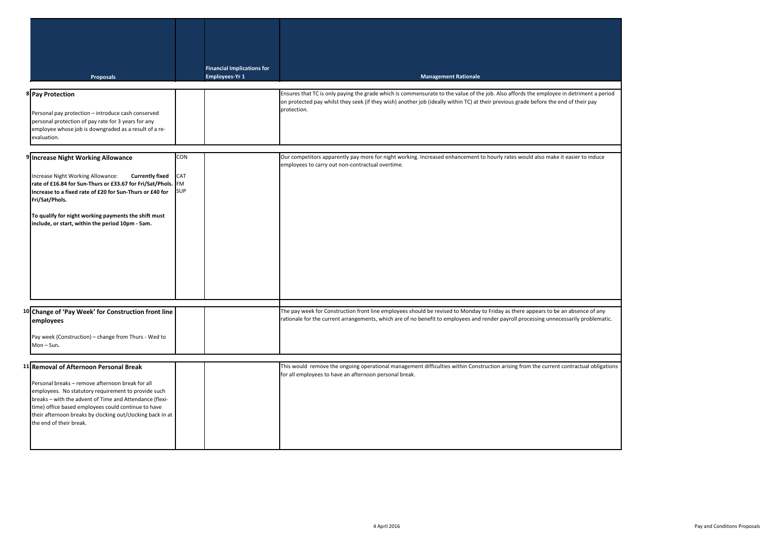| Proposals<br>8 Pay Protection                                                                                                                                                                                                                                                                                                                                       |                                       | <b>Financial Implications for</b><br>Employees-Yr 1 | <b>Management Rationale</b><br>Ensures that TC is only paying the grade which is commensurate to the value of the job. Also affords the employee in detriment a period                                                                                                     |
|---------------------------------------------------------------------------------------------------------------------------------------------------------------------------------------------------------------------------------------------------------------------------------------------------------------------------------------------------------------------|---------------------------------------|-----------------------------------------------------|----------------------------------------------------------------------------------------------------------------------------------------------------------------------------------------------------------------------------------------------------------------------------|
| Personal pay protection - introduce cash conserved<br>personal protection of pay rate for 3 years for any<br>employee whose job is downgraded as a result of a re-<br>evaluation.                                                                                                                                                                                   |                                       |                                                     | on protected pay whilst they seek (if they wish) another job (ideally within TC) at their previous grade before the end of their pay<br>protection.                                                                                                                        |
| <sup>9</sup> Increase Night Working Allowance<br>Increase Night Working Allowance:<br><b>Currently fixed</b><br>rate of £16.84 for Sun-Thurs or £33.67 for Fri/Sat/Phols.<br>Increase to a fixed rate of £20 for Sun-Thurs or £40 for<br>Fri/Sat/Phols.<br>To qualify for night working payments the shift must<br>include, or start, within the period 10pm - 5am. | CON<br>CAT<br><b>FM</b><br><b>SUP</b> |                                                     | Our competitors apparently pay more for night working. Increased enhancement to hourly rates would also make it easier to induce<br>employees to carry out non-contractual overtime.                                                                                       |
| 10 Change of 'Pay Week' for Construction front line<br>employees<br>Pay week (Construction) - change from Thurs - Wed to<br>Mon-Sun.                                                                                                                                                                                                                                |                                       |                                                     | The pay week for Construction front line employees should be revised to Monday to Friday as there appears to be an absence of any<br>rationale for the current arrangements, which are of no benefit to employees and render payroll processing unnecessarily problematic. |
| 11 Removal of Afternoon Personal Break<br>Personal breaks - remove afternoon break for all<br>employees. No statutory requirement to provide such<br>breaks - with the advent of Time and Attendance (flexi-<br>time) office based employees could continue to have<br>their afternoon breaks by clocking out/clocking back in at<br>the end of their break.        |                                       |                                                     | This would remove the ongoing operational management difficulties within Construction arising from the current contractual obligations<br>for all employees to have an afternoon personal break.                                                                           |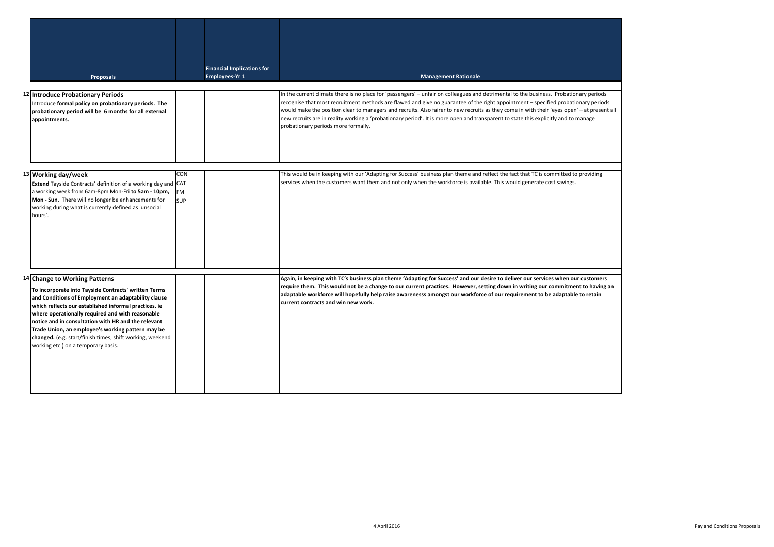| Proposals                                                                                                                                                                                                                                                                                                                                                                                                                                                                 |                                       | <b>Financial Implications for</b><br><b>Employees-Yr 1</b> | <b>Management Rationale</b>                                                                                                                                                                                                                                                                                                                                                                                                                                                                                                                                                                               |
|---------------------------------------------------------------------------------------------------------------------------------------------------------------------------------------------------------------------------------------------------------------------------------------------------------------------------------------------------------------------------------------------------------------------------------------------------------------------------|---------------------------------------|------------------------------------------------------------|-----------------------------------------------------------------------------------------------------------------------------------------------------------------------------------------------------------------------------------------------------------------------------------------------------------------------------------------------------------------------------------------------------------------------------------------------------------------------------------------------------------------------------------------------------------------------------------------------------------|
| 12 Introduce Probationary Periods<br>Introduce formal policy on probationary periods. The<br>probationary period will be 6 months for all external<br>appointments.                                                                                                                                                                                                                                                                                                       |                                       |                                                            | In the current climate there is no place for 'passengers' - unfair on colleagues and detrimental to the business. Probationary periods<br>recognise that most recruitment methods are flawed and give no guarantee of the right appointment - specified probationary periods<br>would make the position clear to managers and recruits. Also fairer to new recruits as they come in with their 'eyes open' - at present all<br>new recruits are in reality working a 'probationary period'. It is more open and transparent to state this explicitly and to manage<br>probationary periods more formally. |
| 13 Working day/week<br>Extend Tayside Contracts' definition of a working day and<br>a working week from 6am-8pm Mon-Fri to 5am - 10pm,<br>Mon - Sun. There will no longer be enhancements for<br>working during what is currently defined as 'unsocial<br>hours'.                                                                                                                                                                                                         | <b>CON</b><br>CAT<br>FM<br><b>SUP</b> |                                                            | This would be in keeping with our 'Adapting for Success' business plan theme and reflect the fact that TC is committed to providing<br>services when the customers want them and not only when the workforce is available. This would generate cost savings.                                                                                                                                                                                                                                                                                                                                              |
| 14 Change to Working Patterns<br>To incorporate into Tayside Contracts' written Terms<br>and Conditions of Employment an adaptability clause<br>which reflects our established informal practices. ie<br>where operationally required and with reasonable<br>notice and in consultation with HR and the relevant<br>Trade Union, an employee's working pattern may be<br>changed. (e.g. start/finish times, shift working, weekend<br>working etc.) on a temporary basis. |                                       |                                                            | Again, in keeping with TC's business plan theme 'Adapting for Success' and our desire to deliver our services when our customers<br>require them. This would not be a change to our current practices. However, setting down in writing our commitment to having an<br>adaptable workforce will hopefully help raise awarenesss amongst our workforce of our requirement to be adaptable to retain<br>current contracts and win new work.                                                                                                                                                                 |